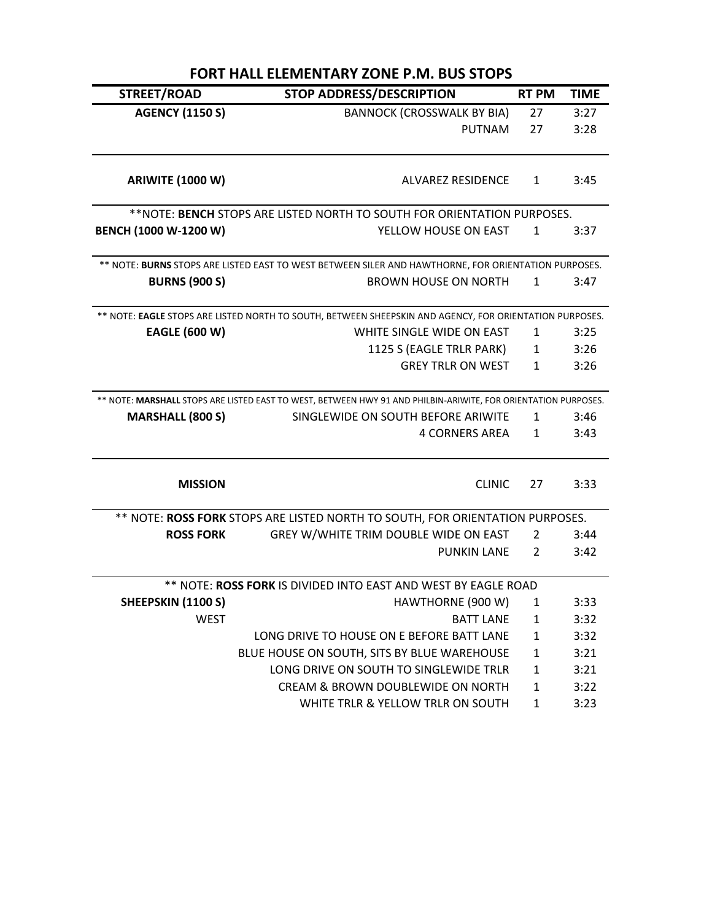| <b>FORT HALL ELEMENTARY ZONE P.M. BUS STOPS</b> |                                                                                                                |                |             |  |  |
|-------------------------------------------------|----------------------------------------------------------------------------------------------------------------|----------------|-------------|--|--|
| STREET/ROAD                                     | <b>STOP ADDRESS/DESCRIPTION</b>                                                                                | <b>RT PM</b>   | <b>TIME</b> |  |  |
| <b>AGENCY (1150 S)</b>                          | <b>BANNOCK (CROSSWALK BY BIA)</b>                                                                              | 27             | 3:27        |  |  |
|                                                 | <b>PUTNAM</b>                                                                                                  | 27             | 3:28        |  |  |
| <b>ARIWITE (1000 W)</b>                         | ALVAREZ RESIDENCE                                                                                              | $\mathbf{1}$   | 3:45        |  |  |
|                                                 | **NOTE: BENCH STOPS ARE LISTED NORTH TO SOUTH FOR ORIENTATION PURPOSES.                                        |                |             |  |  |
| BENCH (1000 W-1200 W)                           | YELLOW HOUSE ON EAST                                                                                           | $\mathbf{1}$   | 3:37        |  |  |
|                                                 | ** NOTE: BURNS STOPS ARE LISTED EAST TO WEST BETWEEN SILER AND HAWTHORNE, FOR ORIENTATION PURPOSES.            |                |             |  |  |
| <b>BURNS (900 S)</b>                            | <b>BROWN HOUSE ON NORTH</b>                                                                                    | 1              | 3:47        |  |  |
|                                                 | ** NOTE: EAGLE STOPS ARE LISTED NORTH TO SOUTH, BETWEEN SHEEPSKIN AND AGENCY, FOR ORIENTATION PURPOSES.        |                |             |  |  |
| <b>EAGLE (600 W)</b>                            | WHITE SINGLE WIDE ON EAST                                                                                      | $\mathbf{1}$   | 3:25        |  |  |
|                                                 | 1125 S (EAGLE TRLR PARK)                                                                                       | $\mathbf{1}$   | 3:26        |  |  |
|                                                 | <b>GREY TRLR ON WEST</b>                                                                                       | 1              | 3:26        |  |  |
|                                                 | ** NOTE: MARSHALL STOPS ARE LISTED EAST TO WEST, BETWEEN HWY 91 AND PHILBIN-ARIWITE, FOR ORIENTATION PURPOSES. |                |             |  |  |
| <b>MARSHALL (800 S)</b>                         | SINGLEWIDE ON SOUTH BEFORE ARIWITE                                                                             | $\mathbf{1}$   | 3:46        |  |  |
|                                                 | <b>4 CORNERS AREA</b>                                                                                          | $\mathbf{1}$   | 3:43        |  |  |
| <b>MISSION</b>                                  | <b>CLINIC</b>                                                                                                  | 27             | 3:33        |  |  |
|                                                 | ** NOTE: ROSS FORK STOPS ARE LISTED NORTH TO SOUTH, FOR ORIENTATION PURPOSES.                                  |                |             |  |  |
| <b>ROSS FORK</b>                                | GREY W/WHITE TRIM DOUBLE WIDE ON EAST                                                                          | 2              | 3:44        |  |  |
|                                                 | <b>PUNKIN LANE</b>                                                                                             | $\overline{2}$ | 3:42        |  |  |
|                                                 | ** NOTE: ROSS FORK IS DIVIDED INTO EAST AND WEST BY EAGLE ROAD                                                 |                |             |  |  |
| SHEEPSKIN (1100 S)                              | HAWTHORNE (900 W)                                                                                              | 1              | 3:33        |  |  |
| <b>WEST</b>                                     | <b>BATT LANE</b>                                                                                               | $\mathbf{1}$   | 3:32        |  |  |
|                                                 | LONG DRIVE TO HOUSE ON E BEFORE BATT LANE                                                                      | $\mathbf{1}$   | 3:32        |  |  |
|                                                 | BLUE HOUSE ON SOUTH, SITS BY BLUE WAREHOUSE                                                                    | 1              | 3:21        |  |  |
|                                                 | LONG DRIVE ON SOUTH TO SINGLEWIDE TRLR                                                                         | $\mathbf{1}$   | 3:21        |  |  |
|                                                 | CREAM & BROWN DOUBLEWIDE ON NORTH                                                                              | 1              | 3:22        |  |  |
|                                                 | WHITE TRLR & YELLOW TRLR ON SOUTH                                                                              | $\mathbf{1}$   | 3:23        |  |  |